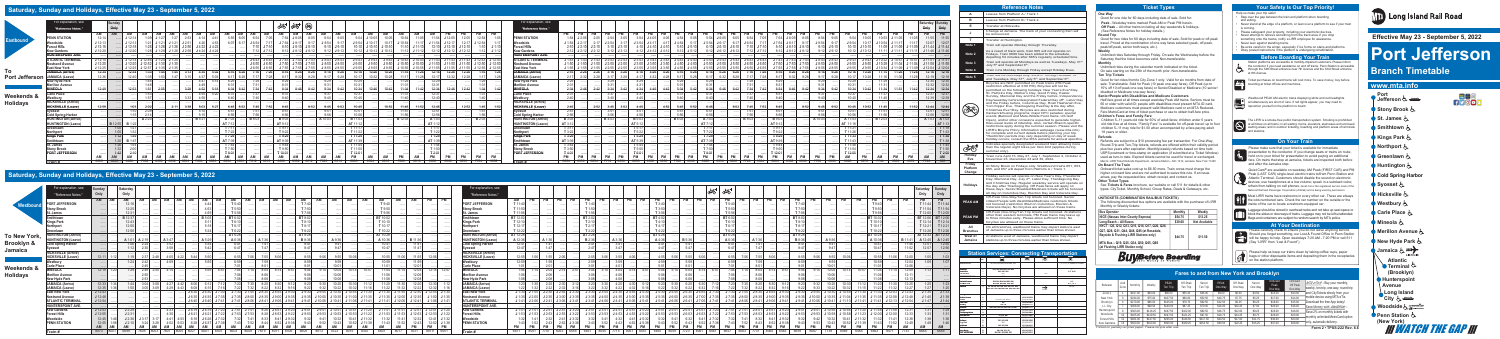### **One Way**

Good for one ride for 60 days including date of sale. Sold for: **Peak** - Weekday trains marked Peak AM or Peak PM herein.  **Off Peak** – All other trains including all day weekends & holidays. (See Reference Notes for holiday details.) **Round Trip**

Good for two rides for 60 days including date of sale. Sold for peak or off-peak travel. Priced at the combination of one way fares selected (peak, off-peak, peak/off-peak, senior both ways, etc.).

### **Weekly**

Unlimited rides Saturday through Friday. On sale the Wednesday before the Saturday that the ticket becomes valid. Non-transferable. **Monthly**

Unlimited rides during the calendar month indicated on the ticket. On sale starting on the 25th of the month prior. Non-transferable. **Ten Trip Tickets**

Good for ten rides from/to City Zone 1 only. Valid for six months from date of sale. Transferable. Sold for Peak (10 peak one-way fares), Off Peak (up to 15% off 10 off peak one way fares) or Senior/Disabled or Medicare (10 senior/ disabled or Medicare one-way fares).

### **Senior/People with Disabilities and Medicare Customers**

Half-fare good at all times except weekday Peak AM trains. Seniors must be 65 or older with valid ID; people with disabilities must present MTA ID card. Medicare customers must present valid Medicare card or an MTA Reduced-Fare MetroCard at time of ticket purchase or use to obtain half-fare price. **Children's Fares and Family Fare**

Children 5–11 years old ride for 50% of adult fares; children under 5 years old ride free at all times. "Family Fare" is available for off-peak travel; up to four children 5–11 may ride for \$1.00 when accompanied by a fare-paying adult 18 years or older.

### **Refunds**

Refunds are subject to a \$10 processing fee per transaction. For One-Way, Round-Trip and Ten-Trip tickets, refunds are offered within their validity period plus two years after expiration. Monthly/weekly refunds based on time held. USPS postmark or time-stamp on application (if submitted at a Ticket Window) used as turn-in date. Expired tickets cannot be used for travel or exchanged. Mail to: LIRR Ticket Refunds Department, Jamaica Station – MC 1410, Jamaica, New York 11435 **On Board The Train**

Onboard ticket sales cost up to \$6.50 more. Train crews must charge the higher on board fare and are not authorized to waive this rule. If an issue arises, pay the requested fare, obtain receipt, and contact us. **Other Ticket Types** 

See **Tickets & Fares** brochure, our website or call 511 for details & other types: CityTicket, Monthly School, Group Rates, Deals & Getaways, etc.

## **\_\_\_\_\_\_\_\_\_\_\_\_\_\_\_\_\_\_\_\_\_\_\_\_\_\_\_\_\_\_\_\_\_\_\_\_\_\_\_\_\_\_\_\_\_\_\_\_\_\_\_\_\_\_\_\_\_\_\_\_\_\_\_ UNITICKETS (COMBINATION RAIL/BUS TICKETS)**

Ticket purchases on board trains will cost more. To save money, buy before boarding at ticket offices and machines.

The following discounted bus options are available with the purchase of LIRR Monthly or Weekly tickets:

Westbound PEAK AM electric trains displaying white and red headlights simultaneously are short of cars. If red lights appear, you may need to reposition yourself on the platform to board

The LIRR is a smoke-free public transportation system. Smoking is prohibited at all times on all trains; in all waiting rooms, elevators, staircases and enclosed waiting areas; and in outdoor ticketing, boarding and platform areas of terminals and stations.

| <b>Bus Operator</b>                                                                                                                                                                                                | <b>Monthly</b> | Weekly               |
|--------------------------------------------------------------------------------------------------------------------------------------------------------------------------------------------------------------------|----------------|----------------------|
| NICE (Nassau Inter-County Express)                                                                                                                                                                                 | \$54.75        | \$13.25              |
| Long Beach - All Buses                                                                                                                                                                                             | \$30.00        | <b>Not Available</b> |
| NYCT - Q5, Q12, Q13, Q15, Q16, Q17, Q20, Q26,<br>Q27, Q28, Q31, Q44, Q48, Q85 (at Rosedale,<br>Bayside & Flushing LIRR Stations only)<br>MTA Bus - Q19, Q25, Q34, Q50, Q65, Q66<br>(at Flushing LIRR Station only) | \$44.75        | \$11.50              |

# **Buy Before Boarding**

*Printed on partially recycled paper. Please recycle after use.*

Please make sure that your ticket is available for immediate presentation to the conductor. If you change seats or trains en route, hold on to your ticket for presentation to avoid paying an additional fare. On trains that stop at Jamaica, tickets are inspected both before and after the Jamaica stop.

Quiet Cars® are available on weekday AM Peak (FIRST CAR) and PM Peak (LAST CAR) single-level electric trains to/from Penn Station and Atlantic Terminal. Customers should disable the sound on electronic devices; use headphones at a low volume; speak in a subdued voice; refrain from talking on cell phones. *Quiet Car is the registered service mark of the National Railroad Passenger Corporation (Amtrak) and is being used by permission.*

Most LIRR trains have restrooms in every other car. These are always the odd-numbered cars. Check the car number on the outside or the inside of the car to locate a restroom-equipped car.

Luggage should be stored in overhead racks and not take up seat space or block the aisles or doorways of trains. Luggage may not be left unattended. ags and containers are subject to random search by MTA police.

- **Port Jefferson**
- Stony Brook  $\xi$
- St. James <sub>(</sub>
- **Smithtown** &
- **Kings Park**
- ◆ Northport **&**
- **Creenlawn** 占
- <mark>.</mark> Huntington ्
- 
- **Cold Spring Harbor**
- isyosset **∱**
- **Hicksville**
- Westbury *(*
- **Carle Place** 占
- ▶ Mineola (
- **Merillon Avenue**
- **New Hyde Park**
- **Hunterspoint Avenue Jamaica Long Island City** & **Atlantic Terminal (Brooklyn)**
- **Penn Station Woodside**

**New Hyde Park** 4 n25 (516) 354-3554 354 3554 **Merillon Avenue** 1 4 (516) 742-2222 **Mineola 1** 4 **1** n22, n23, n24, n40/41 (516) 746-2500 **Carle Place** 7 n22 (516) 334-2900 **Westbury 17 122, n35 22, 616) 333-1111 Hicksville** 7 n20H, n22, n24, n48, n49, n78, n79, n80 (516) 931-1111 **Syosset 7 7 8 9931-2929** (516) 931-2929 **Cold Spring Harbor** 9 (631) 423-2800 **HUNTINGTON 9** 9 S1, H10, H20 (631) 271-3600 **Greenlawn** 9 H10, H30 (631) 351-5858 **Northport** 8 | 9 | S41, H10, H40 (631) 261-0235 **Kings Park** 10 S56 (631) 265-2727 265 2727 **Smithtown 10 S45, S56, S58 (631) 265-2727 St. James** 10 10 **10 265-2727** 265-2727 **S60, S69, S76, 3D PORT JEFFERSON 10 S60, S61, S62, S69, S76 (631) 473-0707** 

- Help us make your trip safer!
- Step over the gap between the train and platform when boarding
- and exiting. • Never stand at the edge of a platform, or lean over a platform to see if your train is coming.
- Please safeguard your property, including your electronic devices. • Never attempt to retrieve something from the track area. If you drop
- something onto the tracks, notify a LIRR employee for assistance. • Never lean against standing trains.
- Be extra careful in the winter, especially if ice forms on stairs and platforms.
- Obey posted instructions if the platform is undergoing rehabilitation.

Station platforms are accessible to mobility-impaired customers. Please inform the conductor if you need assistance on and off trains. Penn Station is accessible through the 34th Street entrance near 7th Avenue and the 33rd Street entrance at 8th Avenue.

|                                                             |             |          |          |                  |                      | <b>Fares to and from New York and Brooklyn</b> |                 |                     |                   |                            |                                |                                                                                          |
|-------------------------------------------------------------|-------------|----------|----------|------------------|----------------------|------------------------------------------------|-----------------|---------------------|-------------------|----------------------------|--------------------------------|------------------------------------------------------------------------------------------|
| Between                                                     | And<br>Zone | Monthly  | Weekly   | PEAK<br>Ten Trip | Off-Peak<br>Ten Trip | Senior<br>Ten Trip                             | PFAK<br>One Way | Off Peak<br>One Way | Senior<br>One Way | Onboard<br>Peak<br>One Way | Onboard<br>Off Peak<br>One Way | $MTA$ $eTix^{\circledcirc}$ - Buy your monthly,<br>weekly, ten-trip, one-way, round trip |
| Zone 1                                                      |             | \$197.00 | \$63.00  | \$90.00          | \$55.25              | \$45.00                                        | \$9.00          | \$6.50              | \$4.50            | \$15.00                    | \$13.00                        | and CityTickets direcly from your                                                        |
| New York                                                    |             | \$234.00 | \$75.00  | \$107.50         | \$66.00              | \$52.50                                        | \$10.75         | \$7.<br>75          | \$5.25            | \$17.00                    | \$14.00                        | mobile device using MTA eTix.                                                            |
| Brooklyn                                                    |             | \$270.00 | \$86.50  | \$125.00         | \$78.75              | \$62.50                                        | \$12.50         | \$9.25              | \$6.25            | \$19.00                    | \$15.00                        | Download the free App today!                                                             |
| L.I. City                                                   |             | \$308.00 | \$98.50  | \$140.00         | \$87.25              | \$70.00                                        | \$14.00         | \$10.25             | \$7.00            | \$20.00                    | \$16.00                        | Save Money with Mail&Ride -                                                              |
| Hunterspoint                                                |             | \$363.00 | \$116.25 | \$167.50         | \$102.00             | \$82.50                                        | \$16.75         | \$12.00             | \$8.25            | \$23.00                    | \$18.00                        | Save 2% on monthly tickets with                                                          |
| Woodside                                                    |             | \$405.00 | \$129.50 | \$197.50         | \$121.25             | \$97.50                                        | \$19.75         | \$14.25             | \$9.75            | \$26.00                    | \$20.00                        | monthly unlimited MetroCard option                                                       |
| Forest Hills                                                |             | \$461.00 | \$147.50 | \$235.00         | \$144.50             | \$117.50                                       | \$23.50         | \$17.00             | \$11.75           | \$30.00                    | \$23.00                        |                                                                                          |
| Kew Gardens                                                 |             | \$500.00 | \$160.00 | \$305.00         | \$189.25             | \$152.50                                       | \$30.50         | \$22.25             | \$15.25           | \$37.00                    | \$28.00                        | only, automatic delivery.                                                                |
| inted on partially recycled paper. Please recycle after use |             |          |          |                  |                      |                                                |                 |                     |                   |                            |                                | $E_{\text{O}}$ $\sim$ $\sim$ TDCC $\sim$ $\sim$ $\sim$                                   |

### **Ticket Types Your Safety Is Our Top Priority!**

## **At Your Destination**

ease carefully check to ensure you do not leave anything behind. Should you forget something, our Lost & Found Office in Penn Station will be happy to help. Open weekdays 7:20 AM - 7:20 PM or call 511 Will be happy to neip. Upen model .<br>(Say "LIRR" then "Lost & Found").

> Please help us keep our trains clean by taking coffee cups, paper  $\Box$   $\Box$  bags or other disposable items and depositing them in the receptacles  $\parallel \cdot \parallel$  on the station platform.

## **Before Boarding Your Train**

## **On Your Train**

# **Effective May 23 - September 5, 2022**

# **Port Jefferson Branch Timetable**



## **www.mta.info**

**(New York)**

# **MTA** Long Island Rail Road



|                       | or explanation, see<br>"Reference Notes." | Only      | Only     |                   |                   |       |                 |               |         |                                                                            |               |                                                            |  |                   |                |                                       | For explanation, see<br>"Reference Notes." |                      |                 |                                                                       |               |                                                                       |  |         |                         |                      | $ \phi\delta\!\!\!\delta^\dagger \phi\!\!\!\delta\!\!\!\delta^\dagger $ |                      |               |                                                                       |               |                                    |           |  | Saturday<br>Only                             | Sunday<br>Only  |
|-----------------------|-------------------------------------------|-----------|----------|-------------------|-------------------|-------|-----------------|---------------|---------|----------------------------------------------------------------------------|---------------|------------------------------------------------------------|--|-------------------|----------------|---------------------------------------|--------------------------------------------|----------------------|-----------------|-----------------------------------------------------------------------|---------------|-----------------------------------------------------------------------|--|---------|-------------------------|----------------------|-------------------------------------------------------------------------|----------------------|---------------|-----------------------------------------------------------------------|---------------|------------------------------------|-----------|--|----------------------------------------------|-----------------|
|                       |                                           |           |          |                   |                   |       |                 |               |         |                                                                            |               |                                                            |  |                   |                | PM PM                                 |                                            |                      |                 |                                                                       |               |                                                                       |  |         |                         |                      |                                                                         |                      |               |                                                                       |               |                                    |           |  |                                              | P <sub>N</sub>  |
|                       |                                           |           |          |                   |                   |       |                 |               |         |                                                                            |               |                                                            |  |                   |                |                                       |                                            | AM                   |                 |                                                                       |               |                                                                       |  |         |                         |                      |                                                                         |                      |               |                                                                       |               |                                    |           |  | $T 11:44$ $T 11:44$                          |                 |
| Westbour              | <b>PORT JEFFERSON</b>                     |           |          |                   |                   |       |                 |               |         |                                                                            |               |                                                            |  |                   |                |                                       | <b>PORT JEFFERSON</b>                      | T 11:40              |                 |                                                                       |               |                                                                       |  |         |                         |                      |                                                                         |                      |               |                                                                       |               |                                    |           |  |                                              |                 |
|                       | <b>Stony Brook</b>                        |           |          |                   |                   |       |                 |               | T5:50   |                                                                            |               |                                                            |  |                   |                |                                       | <b>Stony Brook</b>                         | $T$ 11:5<br>$T$ 11.5 |                 |                                                                       |               |                                                                       |  |         |                         |                      |                                                                         |                      |               |                                                                       |               |                                    |           |  | $T 11:54$ $T 11:54$                          |                 |
|                       | St. James                                 |           |          |                   |                   |       |                 |               |         |                                                                            |               |                                                            |  |                   |                |                                       | it. James                                  |                      |                 |                                                                       |               |                                                                       |  |         |                         |                      |                                                                         |                      |               |                                                                       |               |                                    |           |  | T 12:00 T 12:00                              |                 |
|                       | Smithtown                                 |           | $B$ 12.3 |                   |                   |       |                 | B.5.05        | BT 6:02 |                                                                            | BT 8:02       |                                                            |  |                   |                |                                       | <b>Smithtown</b>                           | <b>BT</b> 12:02      |                 |                                                                       | BT 2:02       |                                                                       |  | RT 4.02 |                         |                      | BT 6:02                                                                 |                      |               |                                                                       | RT 8:02       |                                    |           |  | <b>BT</b> 12:06 <b>BT</b> 12:06              |                 |
|                       | Kings Park                                |           |          |                   |                   |       |                 |               |         |                                                                            |               |                                                            |  |                   |                |                                       | <b>Kings Park</b>                          |                      |                 |                                                                       |               |                                                                       |  |         |                         |                      |                                                                         |                      |               |                                                                       |               |                                    |           |  | $T$ 12:14 $T$ 12:14                          |                 |
|                       | Northport                                 |           |          |                   |                   |       |                 |               |         |                                                                            |               |                                                            |  |                   |                |                                       | orthport                                   | $T$ 12:1             |                 |                                                                       |               |                                                                       |  |         |                         |                      |                                                                         |                      |               |                                                                       |               |                                    |           |  | T 12:21 T 12:21                              |                 |
|                       | Greenlawn                                 |           |          |                   |                   |       |                 |               | T 6:22  |                                                                            |               |                                                            |  |                   |                |                                       |                                            | $T$ 12:2             |                 |                                                                       |               |                                                                       |  |         |                         |                      |                                                                         |                      |               |                                                                       |               |                                    |           |  | T 12:26 T 12:26                              |                 |
| To New York,          | <b>HUNTINGTON (Arrive)</b>                |           |          |                   |                   |       |                 |               | AT 6:28 |                                                                            | AT 8:28       |                                                            |  |                   |                |                                       | <b>HUNTINGTON (Arrive)</b>                 | AT 12:28             |                 |                                                                       | AT 2:28       |                                                                       |  | AT 4:28 | .                       |                      | AT 6:28                                                                 |                      |               |                                                                       | AT 8:28       |                                    |           |  | AT 12:32 AT 12:32                            |                 |
|                       | HUNTINGTON (Leave)                        |           |          | $A 1.01$ $A 2.19$ | $\mathbf{A}$ 3.47 |       |                 | $\Delta$ 5.29 | A 6:36  | A 7:36                                                                     | <b>B</b> 8:36 | A 9:36                                                     |  | $\triangle$ 10:36 | <b>B</b> 11:36 |                                       | <b>HUNTINGTON (Leave)</b>                  | A 12:36              |                 | A 1:36                                                                | <b>B</b> 2:36 | A 3:36                                                                |  | A4.36   | <b>B</b> 5:36           |                      | A6:36                                                                   |                      | $\Delta$ 7.36 |                                                                       | <b>B</b> 8:36 |                                    | $A$ 10:36 |  | <b>B</b> 11:41 <b>A</b> 12:45 <b>A</b> 12:45 |                 |
| <b>Brooklyn &amp;</b> | <b>Cold Spring Harbor</b>                 |           |          |                   |                   |       |                 |               |         |                                                                            | 8.41          |                                                            |  |                   | 11:411         |                                       | <b>Cold Spring Harbor</b>                  | 12.41                |                 |                                                                       | 2.41          |                                                                       |  | 4.41    | 5:41                    |                      |                                                                         | 6.41                 |               |                                                                       |               |                                    |           |  |                                              |                 |
|                       |                                           |           |          |                   |                   |       |                 |               |         |                                                                            |               |                                                            |  |                   |                |                                       |                                            |                      |                 |                                                                       |               |                                                                       |  |         |                         |                      |                                                                         |                      |               |                                                                       |               |                                    |           |  |                                              |                 |
| Jamaica               | <b>HICKSVILLE (Arrive)</b>                |           |          |                   |                   |       |                 |               |         |                                                                            |               |                                                            |  |                   |                |                                       | <b>HICKSVILLE (Arrive)</b>                 |                      |                 |                                                                       |               |                                                                       |  |         |                         |                      |                                                                         |                      |               |                                                                       |               |                                    |           |  |                                              |                 |
|                       | HICKSVILLE (Leave)                        |           |          |                   |                   |       |                 |               |         |                                                                            |               |                                                            |  |                   |                |                                       | HICKSVILLE (Leave)                         |                      |                 |                                                                       |               |                                                                       |  |         |                         |                      |                                                                         |                      |               |                                                                       |               |                                    |           |  |                                              |                 |
|                       | Westbury                                  |           |          |                   |                   |       |                 |               |         |                                                                            |               |                                                            |  |                   |                |                                       | Westbury                                   |                      |                 |                                                                       |               |                                                                       |  |         |                         |                      |                                                                         |                      |               |                                                                       |               |                                    |           |  |                                              |                 |
|                       | <b>Carle Place</b>                        |           |          |                   |                   |       |                 |               |         |                                                                            |               |                                                            |  |                   |                |                                       | <b>Carle Place</b>                         |                      |                 |                                                                       |               |                                                                       |  |         |                         |                      |                                                                         |                      |               |                                                                       |               |                                    |           |  |                                              |                 |
| Weekends &            | <b>MINEOLA</b>                            | 12:19     |          |                   |                   |       |                 | 5.59          |         | 8:04                                                                       | 9.04          |                                                            |  |                   | 12.04          |                                       | <b>MINEOLA</b>                             |                      |                 |                                                                       |               |                                                                       |  |         | 6.04                    |                      |                                                                         |                      |               |                                                                       |               |                                    |           |  |                                              |                 |
| <b>Holidays</b>       | <b>Merillon Avenue</b>                    |           |          |                   |                   |       |                 |               |         |                                                                            |               |                                                            |  |                   |                |                                       | Merillon Avenue                            |                      |                 |                                                                       |               |                                                                       |  |         |                         |                      |                                                                         |                      |               |                                                                       |               |                                    |           |  |                                              |                 |
|                       | New Hyde Park                             |           |          |                   |                   |       |                 |               |         |                                                                            |               |                                                            |  |                   |                |                                       | New Hyde Park                              |                      |                 |                                                                       |               |                                                                       |  |         |                         |                      |                                                                         |                      |               |                                                                       |               |                                    |           |  |                                              |                 |
|                       | JAMAICA (Arrive)                          |           |          |                   |                   |       |                 |               |         |                                                                            |               |                                                            |  |                   |                |                                       | <b>JAMAICA (Arrive)</b>                    |                      |                 |                                                                       |               |                                                                       |  |         |                         |                      |                                                                         |                      |               |                                                                       |               |                                    |           |  |                                              |                 |
|                       | JAMAICA (Leave)                           |           |          |                   |                   |       |                 |               |         |                                                                            |               |                                                            |  |                   |                |                                       | <b>JAMAICA (Leave)</b>                     |                      |                 |                                                                       |               |                                                                       |  |         |                         |                      |                                                                         |                      |               |                                                                       |               |                                    |           |  |                                              |                 |
|                       | <b>East New York</b>                      | $J$ 12:43 |          |                   |                   |       |                 |               |         | J 8:30 J 8:55 J 9:30                                                       | .19:30        | $J$ 10:30 $J$ 10:55 $J$ 11:30                              |  |                   |                |                                       | <b>East New York</b>                       |                      |                 |                                                                       |               |                                                                       |  |         |                         |                      |                                                                         |                      |               |                                                                       |               |                                    |           |  |                                              | J 1:33          |
|                       | <b>Nostrand Avenue</b>                    |           |          |                   |                   |       | 16.35           | J7.35         |         | $J7:35$ $J8:00$ $J8:35$ $J9:00$ $J9:35$                                    |               | J 9:35 J 10:00 J 10:35 J 11:00 J 11:35                     |  |                   |                | $J 1:00$ $J 1:3'$                     | <b>Nostrand Avenue</b>                     |                      |                 | $J2:35$ $J3:00$ $J3:35$                                               |               | $-$ J 3:35 $-$ J 4:00 $-$ J 4:35 $-$ J 5:00 $-$ J 5:35                |  |         |                         | $1635$ $1700$ $1735$ |                                                                         | $1735$ $1800$ $1835$ |               | $J900$ $J935$                                                         |               | $19.35$ $10.00$ $1.10.35$ $111.04$ |           |  |                                              | J 1:38          |
|                       | <b>ATLANTIC TERMINAL</b>                  |           |          |                   |                   |       | $J6.40$ $J6.40$ | J7.41         |         | J 11:41 J 8:06 J 8:41 J 9:06 J 9:41 J 9:41 J 10:06 J 10:41 J 11:06 J 11:41 |               |                                                            |  |                   |                | J 11:41 J 12:06 J 12:41 J 1:06 J 1:41 | <b>ATLANTIC TERMINAL</b>                   |                      |                 | J 1:41 J 2:06 J 2:41 J 3:06 J 3:41                                    |               | J341 J406 J441 J506 J541                                              |  |         | J6:06 J6:41 J7:06 J7:41 |                      |                                                                         |                      |               | J741 J806 J841 J906 J941                                              |               | J941 J1006 J1041 J1110 J1141       |           |  |                                              | $J1.47$ $J1.44$ |
|                       | HUNTERSPOINT AVE.                         |           |          |                   |                   |       |                 |               |         |                                                                            |               |                                                            |  |                   |                |                                       | <b>HUNTERSPOINT AVE.</b>                   |                      |                 |                                                                       |               |                                                                       |  |         |                         |                      |                                                                         |                      |               |                                                                       |               |                                    |           |  |                                              |                 |
|                       | <b>Kew Gardens</b>                        | $J$ 12:53 |          |                   |                   | 4:331 |                 | J 7:20        |         | 8:26 J8:51 J9:20 J9:51                                                     |               | <b>J</b> 9:51 <b>J</b> 10:51 <b>J</b> 10:51 <b>J</b> 11:20 |  |                   |                |                                       | <b>Kew Gardens</b>                         |                      |                 | <b>J</b> 1:51 <b>J</b> 1:51 <b>J</b> 2:51 <b>J</b> 2:51 <b>J</b> 3:20 |               | <b>J</b> 3:51 <b>J</b> 3:51 <b>J</b> 4:51 <b>J</b> 4:51 <b>J</b> 5:20 |  |         |                         |                      |                                                                         |                      |               | <b>J</b> 5:51 J 6:51 J 6:51 J 7:20 J 7:51 J 7:51 J 8:51 J 8:51 J 9:20 |               |                                    |           |  |                                              |                 |
|                       |                                           |           |          |                   |                   |       |                 |               |         |                                                                            |               |                                                            |  |                   |                |                                       | <b>Forest Hills</b>                        |                      | $J1:53$ $J1:53$ |                                                                       |               |                                                                       |  |         |                         |                      |                                                                         |                      |               |                                                                       |               |                                    |           |  |                                              |                 |
|                       | Forest Hills<br>Woodside                  |           |          |                   |                   |       |                 |               |         | 8.33                                                                       |               |                                                            |  |                   |                |                                       | Woodside                                   | 1.321                | 1.41            | $J2:53$ $J2:53$ $J3:22$                                               |               |                                                                       |  |         |                         |                      |                                                                         |                      |               |                                                                       |               |                                    |           |  |                                              |                 |
|                       |                                           |           |          |                   |                   |       |                 |               |         |                                                                            |               |                                                            |  |                   |                |                                       |                                            |                      |                 |                                                                       |               |                                                                       |  |         |                         |                      |                                                                         |                      |               |                                                                       |               |                                    |           |  |                                              |                 |
|                       | <b>PENN STATION</b>                       |           |          |                   |                   |       |                 |               |         |                                                                            |               |                                                            |  |                   | 12.43          |                                       | <b>PENN STATION</b>                        |                      |                 |                                                                       |               |                                                                       |  |         |                         |                      |                                                                         |                      |               |                                                                       |               |                                    |           |  |                                              |                 |
|                       |                                           |           |          |                   |                   |       |                 |               |         |                                                                            |               |                                                            |  |                   |                |                                       |                                            |                      |                 |                                                                       |               |                                                                       |  |         |                         |                      |                                                                         |                      |               |                                                                       |               |                                    |           |  |                                              |                 |
|                       | Frain #                                   |           |          |                   |                   |       |                 |               |         |                                                                            |               |                                                            |  |                   |                |                                       |                                            |                      |                 |                                                                       |               |                                                                       |  |         |                         |                      |                                                                         |                      |               |                                                                       |               |                                    |           |  |                                              |                 |

|                  | For explanation, see                                                |           | Sunday<br>Only |               |        |                                                           |      |       |                                         |      |         |               |             |         | <i>ன்</i> 'ன்'⊗         |      |         |                 |                |       |                             |         |                |               |         |                     |                         |                   |                                                                                                          | For explanation, see       |         |               |                         |                 |      |                         |               |                 |          |        |                                                                       |              |      |                          |      |      |         |                 |          |                   |                   |                     |           |    | Saturday Sunday<br>Only Only |                |
|------------------|---------------------------------------------------------------------|-----------|----------------|---------------|--------|-----------------------------------------------------------|------|-------|-----------------------------------------|------|---------|---------------|-------------|---------|-------------------------|------|---------|-----------------|----------------|-------|-----------------------------|---------|----------------|---------------|---------|---------------------|-------------------------|-------------------|----------------------------------------------------------------------------------------------------------|----------------------------|---------|---------------|-------------------------|-----------------|------|-------------------------|---------------|-----------------|----------|--------|-----------------------------------------------------------------------|--------------|------|--------------------------|------|------|---------|-----------------|----------|-------------------|-------------------|---------------------|-----------|----|------------------------------|----------------|
|                  | "Reference Notes."                                                  |           |                |               |        |                                                           |      |       |                                         |      |         |               |             |         |                         |      |         |                 |                |       |                             |         |                |               |         |                     |                         |                   |                                                                                                          | "Reference Notes."         |         |               |                         |                 |      |                         |               |                 |          |        |                                                                       |              |      |                          |      |      |         |                 |          |                   |                   |                     |           |    |                              |                |
|                  |                                                                     | <b>AM</b> | AM             |               |        |                                                           |      |       |                                         |      |         |               |             |         |                         |      |         |                 |                |       |                             |         |                |               |         |                     |                         | <b>PM</b>         |                                                                                                          |                            | PM      |               |                         |                 |      |                         |               |                 |          |        |                                                                       |              |      |                          |      |      |         |                 |          |                   |                   |                     |           |    |                              |                |
| <b>Eastbound</b> | <b>PENN STATION</b>                                                 | 12.14     |                |               |        |                                                           |      |       | 4:14                                    |      |         |               |             |         | 7.54                    |      | 8:54    |                 |                |       |                             | 0:05    | 10:54          |               |         |                     | 2:05                    |                   |                                                                                                          | <b>PENN STATION</b>        |         | $1:54$ J 2:05 |                         |                 |      |                         |               |                 |          |        |                                                                       | 6:54         |      |                          |      |      |         |                 |          |                   | 10:53             |                     |           |    |                              |                |
|                  |                                                                     | $J$ 12:13 |                | $J$ 12:13     |        |                                                           |      | J2:51 | 4:26                                    |      |         |               |             |         | $J7:54$ $J8:17$         |      | 8:54    |                 |                |       | $J$ 10:17                   | 10:17   | J 10:54        |               |         | $J 11:54$ $J 12:17$ |                         | 12:17 J 12:54     |                                                                                                          | Noodside                   |         |               |                         |                 | 3:17 |                         |               | 5.17            |          |        | 6:17                                                                  | J 6:54       |      |                          |      | 8:17 |         |                 |          | 9:54              | $J 10:54$ $J 11:$ |                     |           |    |                              |                |
|                  | <b>Forest Hills</b>                                                 | J 12:18   |                | J 12:18       |        |                                                           |      |       | 1:26 J 1:26 J 1:26 J 2:56 J 4:22 J 4:22 |      |         |               |             |         | $8:10$ J $8:10$         |      |         | J9:10           |                |       |                             | J 10:10 | 11:10          |               |         | $12:10$ J 12:10     |                         |                   | $1:10$ J 1:10                                                                                            | <b>Forest Hills</b>        |         |               | 2:10 $J 2:10$ $J 2:10$  | 3:10            |      |                         |               | 5:10            |          |        |                                                                       |              |      | $8:10$ J $8:10$ J $8:10$ |      |      |         |                 |          | 10:10             |                   |                     |           |    | J 11:44 J 11:44              |                |
|                  | <b>Kew Gardens</b>                                                  | J 12:20   |                | J 12:20       |        |                                                           |      |       | 1:28 J 1:28 J 1:28 J 2:58 J 4:24 J 4:24 |      |         |               | 7:12 J 7:12 |         | $8:12$ J 8:12 J 8:12    |      |         | $9:12$ J $9:12$ |                |       | $10:12$ J $10:12$ J $10:12$ |         |                | 11:12 J 11:12 |         |                     | $12:12$ J 12:12 J 12:12 |                   | 1:12 $J 1:12$                                                                                            | <b>Kew Gardens</b>         |         |               | $2:12$ J 2:12 J 2:12    | $3:12$ J $3:12$ |      | 4:12 $J$ 4:12 $J$ 4:12  |               | $5:12$ J $5:12$ |          |        | 6:12 J 6:12 J 6:12 7:12 J 7:12                                        |              |      | $8:12$ J $8:12$ J $8:12$ |      |      |         | $9:12$ J $9:12$ |          | $10:12$ J $10:12$ |                   | $11:11$ J 11:11     |           |    | $J 11:46$ $J 11:46$          |                |
|                  | <b>HUNTERSPOINT AVE.</b>                                            |           |                |               |        |                                                           |      |       |                                         |      |         |               |             |         |                         |      |         |                 |                |       |                             |         |                |               |         |                     |                         |                   |                                                                                                          | HUNTERSPOINT AVE.          |         |               |                         |                 |      |                         |               |                 |          |        |                                                                       |              |      |                          |      |      |         |                 |          |                   |                   |                     |           |    |                              |                |
|                  | <b>ATLANTIC TERMINAL</b>                                            | J 12:14   |                |               |        | <b>J</b> 12:14 <b>J</b> 12:46 <b>J</b> 1:24 <b>J</b> 1:24 |      |       |                                         |      |         |               |             |         | $J7:43$ $J7:43$ $J7:43$ |      | J8.43   |                 |                |       | J9:43                       | J9:43   |                |               |         |                     |                         |                   | <b>J</b> 10:43 <b>J</b> 10:43 <b>J</b> 11:43 <b>J</b> 11:43 <b>J</b> 11:43 <b>J</b> 12:43 <b>J</b> 12:43 | <b>TLANTIC TERMINA</b>     |         |               | $J1:43$ $J1:43$ $J1:43$ | J2:43           |      | $J3:43$ $J3:43$ $J3:43$ | $-14.43$      | J4:43           |          |        | <b>J</b> 5:43 <b>J</b> 5:43 <b>J</b> 5:43 <b>J</b> 6:43 <b>J</b> 6:43 |              |      | $J7:43$ $J7:43$ $J7:43$  |      |      |         | $J8:43$ $J8:43$ |          | 19.43             |                   | $J$ 10:22 $J$ 10:57 |           |    | $J 11:51$ $J 11:51$          |                |
|                  | <b>Nostrand Avenue</b>                                              | J 12:20   |                |               |        | <b>J</b> 12:20 <b>J</b> 12:52 <b>J</b> 1:30 <b>J</b> 1:30 |      |       |                                         |      |         |               |             |         |                         |      |         |                 |                |       |                             |         |                |               |         |                     |                         |                   | 1:50 J 12:50 J 12:50                                                                                     | <b>Nostrand Avenue</b>     |         |               |                         |                 |      |                         |               |                 |          |        |                                                                       |              |      |                          |      |      |         |                 |          |                   |                   |                     |           |    | $J 11:58$ $J 11:58$          |                |
| To               | <b>East New York</b>                                                | J 12:25   |                |               |        | <b>J</b> 12:25 <b>J</b> 12:57 <b>J</b> 1:35 <b>J</b> 1:   |      |       |                                         |      |         |               |             |         |                         |      |         |                 |                |       |                             |         |                |               |         |                     |                         | 5 J 12:55 J 12:55 |                                                                                                          | <b>East New York</b>       |         |               |                         |                 |      |                         |               |                 |          |        |                                                                       |              |      |                          |      |      |         |                 |          |                   |                   |                     |           |    |                              |                |
|                  | <b>JAMAICA (Arrive)</b>                                             | 12:34     |                | 12:34         |        | 1.45                                                      | 1:45 |       |                                         |      |         |               |             |         |                         |      |         |                 |                |       |                             |         |                |               |         | 12:16               | 12:26                   | 1:16              |                                                                                                          | <b>JAMAICA (Arrive)</b>    |         |               |                         |                 |      |                         |               |                 |          |        | 6:26                                                                  |              |      |                          |      | 8:26 |         |                 |          |                   |                   |                     |           |    |                              |                |
| Port Jefferson   | <b>JAMAICA</b> (Leave)                                              | 12.36     |                | 12.40         |        |                                                           | 1:47 |       |                                         |      |         |               |             |         |                         |      |         |                 |                |       |                             |         |                |               |         | 12:17               |                         | 1.17              |                                                                                                          | <b>JAMAICA (Leave)</b>     |         | 2.17          |                         |                 |      |                         |               | 5.28            |          |        | 6:28                                                                  | 7:17         | 7.28 |                          | 8.32 | 8:28 |         |                 |          | 10.17             |                   |                     |           |    |                              |                |
|                  | <b>New Hyde Park</b>                                                |           |                |               |        |                                                           |      |       | 4:47                                    |      |         |               |             |         | 8:29                    |      | 9:29    |                 |                |       |                             |         | 11:29          |               |         | 12:29               |                         |                   |                                                                                                          | <b>New Hyde Park</b>       |         | 2:29          |                         | 3:29            |      |                         |               | 5:29            |          |        |                                                                       | 7:29         |      |                          |      |      | 9:29    |                 |          | 10:29             | 11:29             |                     |           |    | 12:30                        | 12:30          |
|                  | <b>Merillon Avenue</b>                                              |           |                |               |        |                                                           |      |       | 4:49                                    |      |         |               |             |         |                         |      | 9:31    |                 |                | 10.34 |                             |         | 11:3<br>11.34  |               |         | 12:31               |                         |                   |                                                                                                          | <b>Merillon Avenue</b>     |         | 2.34          |                         | 3:31            |      |                         |               | 5.31            |          |        |                                                                       | 7:31         |      |                          |      |      |         |                 |          | 10:3'             | 11:31<br>11.34    |                     |           |    | 12:32                        |                |
|                  | <b>MINEOLA</b>                                                      |           |                |               |        |                                                           |      |       |                                         |      |         |               |             |         | 8:34<br>8:46            |      |         |                 |                |       |                             |         |                |               |         | 12:34               |                         |                   |                                                                                                          | <b>MINEOLA</b>             |         |               |                         |                 |      |                         |               |                 |          |        |                                                                       |              |      |                          |      | 8:42 | 9.34    |                 |          | 10:34             |                   |                     |           |    | 12:34                        | 12:34          |
| Weekends &       | Carle Place                                                         |           |                |               |        |                                                           |      | ממימ  | 4:55                                    | 5:20 |         |               |             |         | 8:37<br>8.40            |      | 9:37    |                 |                | 10:37 |                             |         | 11:37          |               |         | 12:37<br>12.40      |                         | 1:37              |                                                                                                          | <b>Carle Place</b>         |         |               |                         | 3:37<br>3.40    |      |                         |               | 5:37<br>5.10    |          |        |                                                                       | 7:37<br>7.40 |      |                          |      |      | 9:37    |                 |          | 10:37<br>10.40    | 11:37<br>11.10    |                     |           |    | 12:37<br>12.39               | 12:37<br>12.30 |
|                  | estburv                                                             |           |                |               |        |                                                           |      |       |                                         |      |         |               |             |         |                         |      |         |                 |                |       |                             |         |                |               |         |                     |                         |                   |                                                                                                          | <b>HICKSVILLE (Arrive)</b> |         |               |                         |                 |      |                         |               |                 |          |        |                                                                       |              |      |                          |      |      |         |                 |          |                   |                   |                     |           |    |                              |                |
| <b>Holidays</b>  | <b>HICKSVILLE (Arrive)</b>                                          |           |                |               |        |                                                           |      | 3.38  |                                         |      |         | 6.52          |             | 7.52    | 8.45                    | 8.52 | 9.45    |                 |                |       |                             | 10.52   | 11.45          |               |         | 12:45               | 12.52                   | 1.45              |                                                                                                          | <b>HICKSVILLE (Leave)</b>  |         |               |                         | 3.45            | 3.50 |                         |               | 5.52<br>5.45    |          |        | 6.52                                                                  | 7.45         |      |                          |      | 8.52 |         | $Q - 52$        |          | 10.45             | 11.45             |                     | $11 - 52$ |    | 12.44                        | 12.44          |
|                  | HICKSVILLE (Leave)<br>vosset                                        |           |                | 1:10          |        |                                                           |      |       | 5:10                                    |      | 6:51    |               |             |         |                         |      |         |                 |                | 10:51 |                             |         | 11:51          |               |         |                     |                         | 1:51              |                                                                                                          | osset/                     |         |               |                         | 3:51            |      |                         |               | 5:51            |          | 6:51   |                                                                       |              |      | 8:51                     |      |      | 9:51    |                 |          | 10:51             |                   |                     |           |    | 12:51                        | 12:51          |
|                  |                                                                     |           |                |               |        |                                                           |      |       |                                         |      |         |               |             |         | 8:51<br>8:56            |      | 9:56    | 9:51            |                | 10.56 |                             |         | 11.56          |               |         | 12:51<br>12:56      |                         | 1.56              |                                                                                                          | <b>Cold Spring Harbor</b>  |         |               |                         | 3.56            |      | 4:51                    |               | 5.56            |          |        |                                                                       | 7:51<br>7.56 |      |                          |      |      | 9:56    |                 |          | 10:56             | 11:51<br>11:56    |                     |           |    | 12:56                        |                |
|                  | <b>Cold Spring Harbor</b><br><b>HUNTINGTON (Arrive)</b>             |           |                |               |        |                                                           |      |       | <b>B</b> 5:21                           |      | A 7:03  | <b>B</b> 8:03 |             |         | <b>B</b> 9:03           |      | A 10:03 |                 | <b>B</b> 11:03 |       |                             |         | <b>B</b> 12:03 |               |         | A 1:03              |                         | <b>B</b> 2:03     |                                                                                                          | <b>HUNTINGTON (Arrive)</b> |         |               |                         | <b>B</b> 4:03   |      |                         | <b>B</b> 6:03 |                 | A 7:03   |        | <b>B</b> 8:03                                                         |              |      | <b>B</b> 9:03            |      |      | A 10:03 |                 | A 11:03  |                   | <b>B</b> 12:03    |                     |           |    | A 1:03 A 1:03                |                |
|                  | <b>HUNTINGTON (Leave)</b>                                           |           | <b>B</b> 12:55 | <b>B</b> 1:22 | A 2:20 |                                                           |      |       |                                         |      | AT 7:12 |               |             | AT 9:12 |                         |      |         |                 | AT 11:12       |       |                             |         |                |               | AT 1:12 |                     |                         |                   |                                                                                                          | <b>HUNTINGTON (Leave)</b>  | AT 3:12 |               |                         |                 |      | AT 5:12                 |               |                 | AT7:12   |        |                                                                       |              |      | AT 9:12                  |      |      |         |                 |          |                   |                   |                     |           |    |                              | AT 1:13        |
|                  | ìreenlawn                                                           |           |                |               |        |                                                           |      |       |                                         |      |         |               |             |         | T9:17                   |      |         |                 |                |       |                             |         |                |               |         |                     |                         |                   |                                                                                                          | reenlawn                   |         |               |                         |                 |      |                         |               |                 |          |        |                                                                       |              |      | T9:17                    |      |      |         |                 |          |                   |                   |                     |           |    |                              | T 1:18         |
|                  | Northport                                                           |           |                |               |        |                                                           |      |       |                                         |      | T 7:22  |               |             |         | 9:22                    |      |         |                 | T 11.7         |       |                             |         |                |               |         |                     |                         |                   |                                                                                                          | Northport                  | T3:22   |               |                         |                 |      | T 5:22                  |               |                 | T 7.2    |        |                                                                       |              |      | T 9:22                   |      |      |         |                 |          |                   |                   |                     |           |    |                              | $T$ 1:23       |
|                  | <b>Kings Park</b>                                                   |           | 1:12           |               |        |                                                           |      |       |                                         |      | T 7:29  |               |             |         | T9:29                   |      |         |                 | T 11:29        |       |                             |         |                |               |         | T1:29               |                         |                   |                                                                                                          | <b>Kings Park</b>          | T 3:29  |               |                         |                 |      | T 5:29                  |               |                 |          | T 7:29 |                                                                       |              |      | T 9:29                   |      |      |         |                 |          |                   |                   |                     |           |    |                              | T 1:30         |
|                  | Smithtown                                                           |           | 1.20           |               |        |                                                           |      |       |                                         |      | AT 7:39 |               |             |         | AT9.39                  |      |         |                 | AT 11:39       |       |                             |         |                |               | AT 1:39 |                     |                         |                   |                                                                                                          | imithtown                  | AT 3:39 |               |                         |                 |      | <b>AT 5:39</b>          |               |                 | AT 7:39  |        |                                                                       |              |      | AT 9:39                  |      |      |         |                 | $-11.12$ |                   |                   |                     |           |    |                              | T 1:38         |
|                  | St. James                                                           |           | 1:26           |               |        |                                                           |      |       |                                         |      | T7.44   |               |             |         | T 9:44                  |      |         |                 | T 11:44        |       |                             |         |                |               |         | T 1:44              |                         |                   |                                                                                                          | St. James                  | T3:44   |               |                         |                 |      | T 5:44                  |               |                 |          | T 7:44 |                                                                       |              |      | T 9:44                   |      |      |         |                 |          |                   |                   |                     |           |    |                              | T 1:44         |
|                  | <b>Stony Brook</b>                                                  |           | 1:32           |               |        |                                                           |      |       |                                         |      | $T$ 7.5 |               |             |         | T9:50                   |      |         |                 |                |       |                             |         |                |               |         | T 1:50              |                         |                   |                                                                                                          | <b>Stony Brook</b>         | T3:50   |               |                         |                 |      | T.5:50                  |               |                 | $T$ 7.50 |        |                                                                       |              |      |                          |      |      |         |                 |          |                   |                   |                     |           |    |                              | T 1:50         |
|                  | PORT JEFFERSON                                                      |           |                |               |        |                                                           |      |       |                                         |      |         |               |             |         |                         |      |         |                 |                |       |                             |         |                |               |         |                     |                         |                   |                                                                                                          | <b>PORT JEFFERSON</b>      |         |               |                         |                 |      |                         |               |                 |          |        |                                                                       |              |      |                          |      |      |         |                 |          |                   |                   |                     |           |    |                              | T 2:00         |
|                  |                                                                     | ΔM        |                |               |        |                                                           |      |       |                                         |      |         |               |             |         |                         |      |         |                 |                |       |                             |         |                |               |         |                     |                         | PМ                | PM                                                                                                       |                            | PM      |               |                         |                 |      |                         |               |                 |          |        |                                                                       |              |      |                          |      |      |         |                 |          |                   |                   |                     |           | AM |                              |                |
|                  | Train #                                                             |           |                |               |        |                                                           |      |       |                                         |      |         |               |             |         |                         |      |         |                 |                |       |                             |         |                |               |         |                     |                         |                   |                                                                                                          |                            |         |               |                         |                 |      |                         |               |                 |          |        |                                                                       |              |      |                          |      |      |         |                 |          |                   |                   |                     |           |    |                              |                |
|                  |                                                                     |           |                |               |        |                                                           |      |       |                                         |      |         |               |             |         |                         |      |         |                 |                |       |                             |         |                |               |         |                     |                         |                   |                                                                                                          |                            |         |               |                         |                 |      |                         |               |                 |          |        |                                                                       |              |      |                          |      |      |         |                 |          |                   |                   |                     |           |    |                              |                |
|                  |                                                                     |           |                |               |        |                                                           |      |       |                                         |      |         |               |             |         |                         |      |         |                 |                |       |                             |         |                |               |         |                     |                         |                   |                                                                                                          |                            |         |               |                         |                 |      |                         |               |                 |          |        |                                                                       |              |      |                          |      |      |         |                 |          |                   |                   |                     |           |    |                              |                |
|                  | Saturday, Sunday and Holidays, Effective May 23 - September 5, 2022 |           |                |               |        |                                                           |      |       |                                         |      |         |               |             |         |                         |      |         |                 |                |       |                             |         |                |               |         |                     |                         |                   |                                                                                                          |                            |         |               |                         |                 |      |                         |               |                 |          |        |                                                                       |              |      |                          |      |      |         |                 |          |                   |                   |                     |           |    |                              |                |
|                  |                                                                     |           |                |               |        |                                                           |      |       |                                         |      |         |               |             |         |                         |      |         |                 |                |       |                             |         |                |               |         |                     |                         |                   |                                                                                                          |                            |         |               |                         |                 |      |                         |               |                 |          |        |                                                                       |              |      |                          |      |      |         |                 |          |                   |                   |                     |           |    |                              |                |
|                  |                                                                     |           |                |               |        |                                                           |      |       |                                         |      |         |               |             |         |                         |      |         |                 |                |       |                             |         |                |               |         |                     |                         |                   |                                                                                                          |                            |         |               |                         |                 |      |                         |               |                 |          |        |                                                                       |              |      |                          |      |      |         |                 |          |                   |                   |                     |           |    |                              |                |

# **Saturday, Sunday and Holidays, Effective May 23 - September 5, 2022**

|                                                     |        | Reference Notes                                                                                                                                                                                                                                                                                                                                                                                                                                                                                                                                                                                                                                                                                                                                                                                                                                                                                                                                                                                                                                                                                                     |   |                         |                                      |
|-----------------------------------------------------|--------|---------------------------------------------------------------------------------------------------------------------------------------------------------------------------------------------------------------------------------------------------------------------------------------------------------------------------------------------------------------------------------------------------------------------------------------------------------------------------------------------------------------------------------------------------------------------------------------------------------------------------------------------------------------------------------------------------------------------------------------------------------------------------------------------------------------------------------------------------------------------------------------------------------------------------------------------------------------------------------------------------------------------------------------------------------------------------------------------------------------------|---|-------------------------|--------------------------------------|
| А                                                   |        | Leaves from Platform A / Track 1.                                                                                                                                                                                                                                                                                                                                                                                                                                                                                                                                                                                                                                                                                                                                                                                                                                                                                                                                                                                                                                                                                   |   |                         |                                      |
| в                                                   |        | Leaves from Platform B / Track 2.                                                                                                                                                                                                                                                                                                                                                                                                                                                                                                                                                                                                                                                                                                                                                                                                                                                                                                                                                                                                                                                                                   |   |                         |                                      |
| Е                                                   |        | Transfer at Hicksville.                                                                                                                                                                                                                                                                                                                                                                                                                                                                                                                                                                                                                                                                                                                                                                                                                                                                                                                                                                                                                                                                                             |   |                         |                                      |
| J                                                   |        | Change at Jamaica. The track of your connecting train will<br>be announced.                                                                                                                                                                                                                                                                                                                                                                                                                                                                                                                                                                                                                                                                                                                                                                                                                                                                                                                                                                                                                                         |   |                         |                                      |
| т                                                   |        | Transfer at Huntington.                                                                                                                                                                                                                                                                                                                                                                                                                                                                                                                                                                                                                                                                                                                                                                                                                                                                                                                                                                                                                                                                                             |   |                         |                                      |
| Note 1                                              |        | Train will operate Monday through Thursday.                                                                                                                                                                                                                                                                                                                                                                                                                                                                                                                                                                                                                                                                                                                                                                                                                                                                                                                                                                                                                                                                         |   |                         |                                      |
| Note 2                                              |        | As a result of track work, train 665 will not operate on<br>Fridays. Train 6699 has been added to the schedule,<br>departing 54 minutes after 665's regularly scheduled time.                                                                                                                                                                                                                                                                                                                                                                                                                                                                                                                                                                                                                                                                                                                                                                                                                                                                                                                                       |   |                         |                                      |
| Note 3                                              |        | Train will operate all Mondays as well as Tuesdays, May 31 <sup>st,</sup><br>July 5 <sup>th</sup> and September 6 <sup>th</sup> .                                                                                                                                                                                                                                                                                                                                                                                                                                                                                                                                                                                                                                                                                                                                                                                                                                                                                                                                                                                   |   |                         |                                      |
| Note 4                                              |        | Train runs Monday through Friday except Holiday Eves.                                                                                                                                                                                                                                                                                                                                                                                                                                                                                                                                                                                                                                                                                                                                                                                                                                                                                                                                                                                                                                                               |   |                         |                                      |
| Note 5                                              |        | Train will run Mondays only, June 6 <sup>th</sup> through October 10 <sup>th</sup><br>and Tuesdays, May 31 <sup>st</sup> , July 5 <sup>th,</sup> and September 6 <sup>th</sup> .                                                                                                                                                                                                                                                                                                                                                                                                                                                                                                                                                                                                                                                                                                                                                                                                                                                                                                                                    |   |                         |                                      |
|                                                     |        | Bicycles are NOT permitted on Peak trains (PM Peak<br>restriction effective at 3:00 PM). Bicycles will not be<br>permitted on the following holidays: New Year's Eve*/Day,<br>St. Patrick's Day, Mother's Day, Good Friday, Easter<br>Sunday, Memorial Day and the Friday before, Independence<br>Day/weekday before/designated Federal Day off*, Labor Day<br>and the Friday before, Columbus Day, Rosh Hashanah Eve,<br>Yom Kippur Eve, Thanksgiving Eve/Day & the day after,<br>Christmas Eve*/Day. Bicycles are also restricted during<br>trackwork/busing programs; major NYC parades; special<br>events (Belmont and Mets-Willets Point trains, US Golf<br>Open), and/or other occasions expected to generate higher-<br>than-usual levels of ridership. Also, certain Branch-specific<br>restrictions apply during the summer season. Please visit the<br>LIRR's Bicycle Policy Information webpage (www.mta.info)<br>for complete and current details before planning your trip.<br>*Restriction periods may vary depending on day of week<br>holiday occurs; consult the MTA website for annual specifics. |   |                         |                                      |
|                                                     |        | Indicates specially designated weekend train allowing more<br>than the regular eight bikes per train limit (applies during<br>summer only).                                                                                                                                                                                                                                                                                                                                                                                                                                                                                                                                                                                                                                                                                                                                                                                                                                                                                                                                                                         |   |                         |                                      |
| Holiday<br>Eve                                      |        | Train runs April 15, May 27, July 1, September 2, October 4,<br>November 23, December 23 and 30, 2022.                                                                                                                                                                                                                                                                                                                                                                                                                                                                                                                                                                                                                                                                                                                                                                                                                                                                                                                                                                                                              |   |                         |                                      |
| Friday<br>Platform<br>Change                        |        | At Stony Brook on Fridays only. Westbound trains 651, 653,<br>655, and 657 will depart from Platform A / Track 1.                                                                                                                                                                                                                                                                                                                                                                                                                                                                                                                                                                                                                                                                                                                                                                                                                                                                                                                                                                                                   |   |                         |                                      |
| Holidays                                            |        | Holiday service will operate on New Year's Day, Presidents'<br>Day, Memorial Day, July 4 <sup>th</sup> , Labor Day, Thanksgiving Day<br>and Christmas Day. Regular weekday service will operate on<br>the day after Thanksgiving. Off Peak fares will apply on<br>these days. Senior/Disabled/Medicare tickets will be honored<br>all day on Columbus Day, Election Day and Veterans Day.                                                                                                                                                                                                                                                                                                                                                                                                                                                                                                                                                                                                                                                                                                                           |   |                         |                                      |
| <b>PEAK AM</b>                                      |        | Off-Peak One-Way/Ten Trip tickets not honored. Senior<br>citizen/People with disabilities/Medicare customers tickets<br>not honored (restriction lifted on Columbus, Election &<br>Veterans Days). No bicycles are allowed on these trains.                                                                                                                                                                                                                                                                                                                                                                                                                                                                                                                                                                                                                                                                                                                                                                                                                                                                         |   |                         |                                      |
| <b>PEAK PM</b>                                      |        | Off-Peak One-Way/Ten Trip tickets not honored. At stations<br>other than western terminals, PM Peak trains may leave up<br>to three minutes early. Please allow sufficient time. No<br>bicycles are allowed on these trains.                                                                                                                                                                                                                                                                                                                                                                                                                                                                                                                                                                                                                                                                                                                                                                                                                                                                                        |   |                         |                                      |
| All<br><b>Branches</b>                              |        | On all branches, eastbound trains may depart stations east<br>of Jamaica up to three minutes earlier than times shown.                                                                                                                                                                                                                                                                                                                                                                                                                                                                                                                                                                                                                                                                                                                                                                                                                                                                                                                                                                                              |   |                         |                                      |
| West of<br>Jamaica                                  |        | At stations west of Jamaica, westbound trains may depart<br>stations up to three minutes earlier than times shown.                                                                                                                                                                                                                                                                                                                                                                                                                                                                                                                                                                                                                                                                                                                                                                                                                                                                                                                                                                                                  |   |                         |                                      |
|                                                     |        | <b>Station Services: Connecting Transportation</b>                                                                                                                                                                                                                                                                                                                                                                                                                                                                                                                                                                                                                                                                                                                                                                                                                                                                                                                                                                                                                                                                  |   |                         |                                      |
|                                                     | Fare   | ◒                                                                                                                                                                                                                                                                                                                                                                                                                                                                                                                                                                                                                                                                                                                                                                                                                                                                                                                                                                                                                                                                                                                   | ⊜ | $\overline{\textbf{t}}$ | 負                                    |
| PENN STATION                                        | Zone   | M7, M20, M34-SBS, M34A-SBS, Q32                                                                                                                                                                                                                                                                                                                                                                                                                                                                                                                                                                                                                                                                                                                                                                                                                                                                                                                                                                                                                                                                                     |   |                         | 1, 2, 3, A, C, E, Amtrak, NJ TRANSIT |
| Woodside                                            | 1      | Q18, Q32, Q53-SBS, Q70-SBS                                                                                                                                                                                                                                                                                                                                                                                                                                                                                                                                                                                                                                                                                                                                                                                                                                                                                                                                                                                                                                                                                          |   | LaGuardia Link Q70-SBS  |                                      |
| orest Hills<br>Kew Gardens                          | 1      | Q23, Q60, Q64<br>Q10                                                                                                                                                                                                                                                                                                                                                                                                                                                                                                                                                                                                                                                                                                                                                                                                                                                                                                                                                                                                                                                                                                |   | Q10                     | E, F, M, R                           |
| <b>HUNTERSPOINT AVE</b><br><b>ATLANTIC TERMINAL</b> | ī<br>1 | Q67<br>B37, B41, B45, B63, B65, B67, B103                                                                                                                                                                                                                                                                                                                                                                                                                                                                                                                                                                                                                                                                                                                                                                                                                                                                                                                                                                                                                                                                           |   |                         | 2, 3, 4, 5, B, D, N, Q, R            |
| <b>Nostrand Avenue</b><br>East New York             | 1<br>1 | B25, B26, B44, B44-SBS, B49<br>B12, B20, B25, B83, Q24, Q56                                                                                                                                                                                                                                                                                                                                                                                                                                                                                                                                                                                                                                                                                                                                                                                                                                                                                                                                                                                                                                                         |   |                         | A, C<br>A, C, J, Z, L                |
| <b>JAMAICA</b>                                      | 3      | Q6, Q8, Q9, Q20, Q24, Q25, Q30, Q31, Q34,<br>Q40, Q41, Q43, Q44-SBS, Q54, Q56, Q60, Q65                                                                                                                                                                                                                                                                                                                                                                                                                                                                                                                                                                                                                                                                                                                                                                                                                                                                                                                                                                                                                             |   | ➡                       | E, J, Z                              |

**Form 2 • TPSS-222 Rev. 6.6**